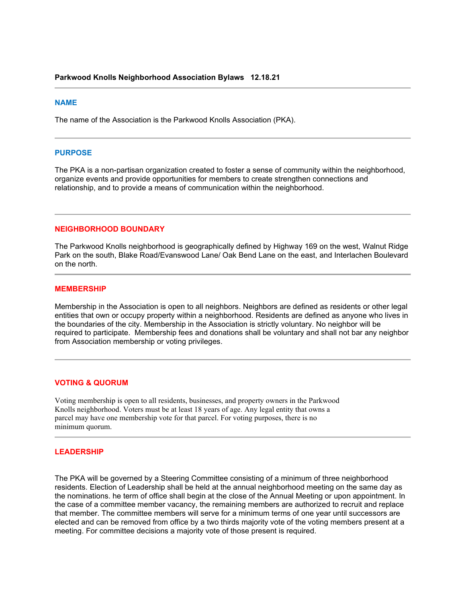#### **NAME**

The name of the Association is the Parkwood Knolls Association (PKA).

#### **PURPOSE**

The PKA is a non-partisan organization created to foster a sense of community within the neighborhood, organize events and provide opportunities for members to create strengthen connections and relationship, and to provide a means of communication within the neighborhood.

#### **NEIGHBORHOOD BOUNDARY**

The Parkwood Knolls neighborhood is geographically defined by Highway 169 on the west, Walnut Ridge Park on the south, Blake Road/Evanswood Lane/ Oak Bend Lane on the east, and Interlachen Boulevard on the north.

#### **MEMBERSHIP**

Membership in the Association is open to all neighbors. Neighbors are defined as residents or other legal entities that own or occupy property within a neighborhood. Residents are defined as anyone who lives in the boundaries of the city. Membership in the Association is strictly voluntary. No neighbor will be required to participate. Membership fees and donations shall be voluntary and shall not bar any neighbor from Association membership or voting privileges.

### **VOTING & QUORUM**

Voting membership is open to all residents, businesses, and property owners in the Parkwood Knolls neighborhood. Voters must be at least 18 years of age. Any legal entity that owns a parcel may have one membership vote for that parcel. For voting purposes, there is no minimum quorum.

## **LEADERSHIP**

The PKA will be governed by a Steering Committee consisting of a minimum of three neighborhood residents. Election of Leadership shall be held at the annual neighborhood meeting on the same day as the nominations. he term of office shall begin at the close of the Annual Meeting or upon appointment. In the case of a committee member vacancy, the remaining members are authorized to recruit and replace that member. The committee members will serve for a minimum terms of one year until successors are elected and can be removed from office by a two thirds majority vote of the voting members present at a meeting. For committee decisions a majority vote of those present is required.